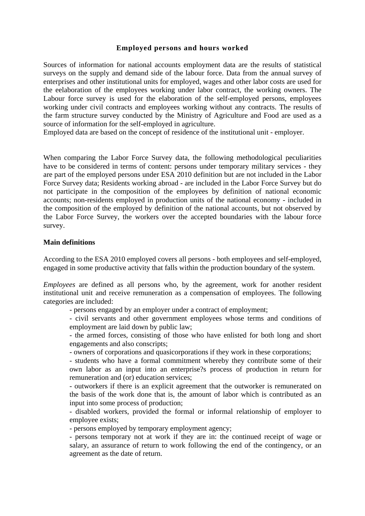## **Employed persons and hours worked**

Sources of information for national accounts employment data are the results of statistical surveys on the supply and demand side of the labour force. Data from the annual survey of enterprises and other institutional units for employed, wages and other labor costs are used for the eelaboration of the employees working under labor contract, the working owners. The Labour force survey is used for the elaboration of the self-employed persons, employees working under civil contracts and employees working without any contracts. The results of the farm structure survey conducted by the Ministry of Agriculture and Food are used as a source of information for the self-employed in agriculture.

Employed data are based on the concept of residence of the institutional unit - employer.

When comparing the Labor Force Survey data, the following methodological peculiarities have to be considered in terms of content: persons under temporary military services - they are part of the employed persons under ESA 2010 definition but are not included in the Labor Force Survey data; Residents working abroad - are included in the Labor Force Survey but do not participate in the composition of the employees by definition of national economic accounts; non-residents employed in production units of the national economy - included in the composition of the employed by definition of the national accounts, but not observed by the Labor Force Survey, the workers over the accepted boundaries with the labour force survey.

## **Main definitions**

According to the ESA 2010 employed covers all persons - both employees and self-employed, engaged in some productive activity that falls within the production boundary of the system.

*Employees* are defined as all persons who, by the agreement, work for another resident institutional unit and receive remuneration as a compensation of employees. The following categories are included:

- persons engaged by an employer under a contract of employment;

- civil servants and other government employees whose terms and conditions of employment are laid down by public law;

- the armed forces, consisting of those who have enlisted for both long and short engagements and also conscripts;

- owners of corporations and quasicorporations if they work in these corporations;

- students who have a formal commitment whereby they contribute some of their own labor as an input into an enterprise?s process of production in return for remuneration and (or) education services;

- outworkers if there is an explicit agreement that the outworker is remunerated on the basis of the work done that is, the amount of labor which is contributed as an input into some process of production;

- disabled workers, provided the formal or informal relationship of employer to employee exists;

- persons employed by temporary employment agency;

- persons temporary not at work if they are in: the continued receipt of wage or salary, an assurance of return to work following the end of the contingency, or an agreement as the date of return.